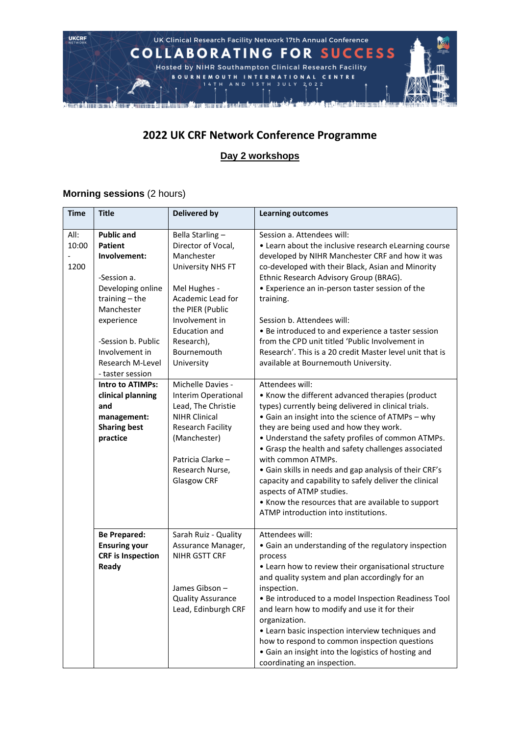

### **2022 UK CRF Network Conference Programme**

### **Day 2 workshops**

### **Morning sessions** (2 hours)

| <b>Time</b>           | <b>Title</b>                                                                                                                                                                                                            | <b>Delivered by</b>                                                                                                                                                                                                           | <b>Learning outcomes</b>                                                                                                                                                                                                                                                                                                                                                                                                                                                                                                                                                                                   |
|-----------------------|-------------------------------------------------------------------------------------------------------------------------------------------------------------------------------------------------------------------------|-------------------------------------------------------------------------------------------------------------------------------------------------------------------------------------------------------------------------------|------------------------------------------------------------------------------------------------------------------------------------------------------------------------------------------------------------------------------------------------------------------------------------------------------------------------------------------------------------------------------------------------------------------------------------------------------------------------------------------------------------------------------------------------------------------------------------------------------------|
| All:<br>10:00<br>1200 | <b>Public and</b><br><b>Patient</b><br>Involvement:<br>-Session a.<br>Developing online<br>training $-$ the<br>Manchester<br>experience<br>-Session b. Public<br>Involvement in<br>Research M-Level<br>- taster session | Bella Starling-<br>Director of Vocal,<br>Manchester<br><b>University NHS FT</b><br>Mel Hughes -<br>Academic Lead for<br>the PIER (Public<br>Involvement in<br><b>Education and</b><br>Research),<br>Bournemouth<br>University | Session a. Attendees will:<br>• Learn about the inclusive research eLearning course<br>developed by NIHR Manchester CRF and how it was<br>co-developed with their Black, Asian and Minority<br>Ethnic Research Advisory Group (BRAG).<br>• Experience an in-person taster session of the<br>training.<br>Session b. Attendees will:<br>• Be introduced to and experience a taster session<br>from the CPD unit titled 'Public Involvement in<br>Research'. This is a 20 credit Master level unit that is<br>available at Bournemouth University.                                                           |
|                       | <b>Intro to ATIMPs:</b><br>clinical planning<br>and<br>management:<br><b>Sharing best</b><br>practice                                                                                                                   | Michelle Davies -<br>Interim Operational<br>Lead, The Christie<br><b>NIHR Clinical</b><br><b>Research Facility</b><br>(Manchester)<br>Patricia Clarke -<br>Research Nurse,<br><b>Glasgow CRF</b>                              | Attendees will:<br>• Know the different advanced therapies (product<br>types) currently being delivered in clinical trials.<br>• Gain an insight into the science of ATMPs - why<br>they are being used and how they work.<br>• Understand the safety profiles of common ATMPs.<br>• Grasp the health and safety challenges associated<br>with common ATMPs.<br>• Gain skills in needs and gap analysis of their CRF's<br>capacity and capability to safely deliver the clinical<br>aspects of ATMP studies.<br>• Know the resources that are available to support<br>ATMP introduction into institutions. |
|                       | <b>Be Prepared:</b><br><b>Ensuring your</b><br><b>CRF</b> is Inspection<br>Ready                                                                                                                                        | Sarah Ruiz - Quality<br>Assurance Manager,<br>NIHR GSTT CRF<br>James Gibson -<br><b>Quality Assurance</b><br>Lead, Edinburgh CRF                                                                                              | Attendees will:<br>• Gain an understanding of the regulatory inspection<br>process<br>• Learn how to review their organisational structure<br>and quality system and plan accordingly for an<br>inspection.<br>• Be introduced to a model Inspection Readiness Tool<br>and learn how to modify and use it for their<br>organization.<br>• Learn basic inspection interview techniques and<br>how to respond to common inspection questions<br>• Gain an insight into the logistics of hosting and<br>coordinating an inspection.                                                                           |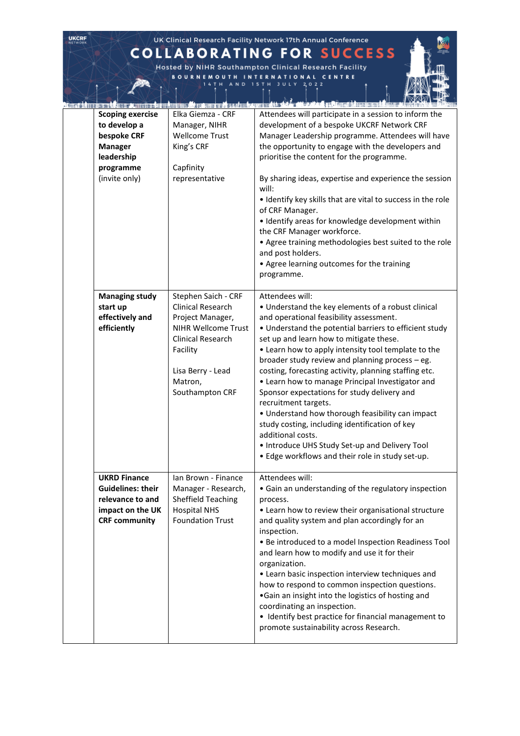# **COLLABORATING FOR SUCCESS**

**UKCRF** 

Hosted by NIHR Southampton Clinical Research Facility<br>
BOURNEMOUTH INTERNATIONAL CENTRE<br>
14TH AND 15TH JULY 2022

| 相感量加细 |                                                                                                                      |                                                                                                                                                                                       | r Tylkirn Aun nach nichtigen <i>sich</i> seiner auf an kannt acht. Sich an ab an den frühme binne er länna A <i>nte</i> r Mann                                                                                                                                                                                                                                                                                                                                                                                                                                                                                                                                                                                                                       |
|-------|----------------------------------------------------------------------------------------------------------------------|---------------------------------------------------------------------------------------------------------------------------------------------------------------------------------------|------------------------------------------------------------------------------------------------------------------------------------------------------------------------------------------------------------------------------------------------------------------------------------------------------------------------------------------------------------------------------------------------------------------------------------------------------------------------------------------------------------------------------------------------------------------------------------------------------------------------------------------------------------------------------------------------------------------------------------------------------|
|       | <b>Scoping exercise</b><br>to develop a<br>bespoke CRF<br><b>Manager</b><br>leadership<br>programme<br>(invite only) | Elka Giemza - CRF<br>Manager, NIHR<br><b>Wellcome Trust</b><br>King's CRF<br>Capfinity<br>representative                                                                              | Attendees will participate in a session to inform the<br>development of a bespoke UKCRF Network CRF<br>Manager Leadership programme. Attendees will have<br>the opportunity to engage with the developers and<br>prioritise the content for the programme.<br>By sharing ideas, expertise and experience the session<br>will:<br>. Identify key skills that are vital to success in the role<br>of CRF Manager.<br>• Identify areas for knowledge development within<br>the CRF Manager workforce.<br>• Agree training methodologies best suited to the role<br>and post holders.<br>• Agree learning outcomes for the training<br>programme.                                                                                                        |
|       | <b>Managing study</b><br>start up<br>effectively and<br>efficiently                                                  | Stephen Saich - CRF<br>Clinical Research<br>Project Manager,<br><b>NIHR Wellcome Trust</b><br><b>Clinical Research</b><br>Facility<br>Lisa Berry - Lead<br>Matron,<br>Southampton CRF | Attendees will:<br>• Understand the key elements of a robust clinical<br>and operational feasibility assessment.<br>• Understand the potential barriers to efficient study<br>set up and learn how to mitigate these.<br>• Learn how to apply intensity tool template to the<br>broader study review and planning process - eg.<br>costing, forecasting activity, planning staffing etc.<br>• Learn how to manage Principal Investigator and<br>Sponsor expectations for study delivery and<br>recruitment targets.<br>• Understand how thorough feasibility can impact<br>study costing, including identification of key<br>additional costs.<br>• Introduce UHS Study Set-up and Delivery Tool<br>. Edge workflows and their role in study set-up. |
|       | <b>UKRD Finance</b><br><b>Guidelines: their</b><br>relevance to and<br>impact on the UK<br><b>CRF community</b>      | Ian Brown - Finance<br>Manager - Research,<br><b>Sheffield Teaching</b><br><b>Hospital NHS</b><br><b>Foundation Trust</b>                                                             | Attendees will:<br>• Gain an understanding of the regulatory inspection<br>process.<br>• Learn how to review their organisational structure<br>and quality system and plan accordingly for an<br>inspection.<br>• Be introduced to a model Inspection Readiness Tool<br>and learn how to modify and use it for their<br>organization.<br>• Learn basic inspection interview techniques and<br>how to respond to common inspection questions.<br>.Gain an insight into the logistics of hosting and<br>coordinating an inspection.<br>• Identify best practice for financial management to<br>promote sustainability across Research.                                                                                                                 |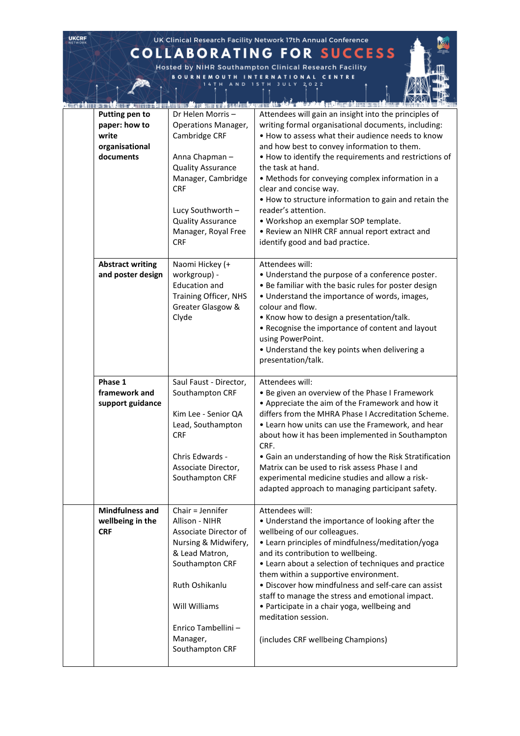## **COLLABORATING FOR SUCCESS**

**UKCRF** 

Hosted by NIHR Southampton Clinical Research Facility<br>
BOURNEMOUTH INTERNATIONAL CENTRE<br>
14TH AND 15TH JULY 2022

|                                                                                |                                                                                                                                                                                                                                        | en sie der er in dat in der trouwen die soarmen ook saat mie aan de stad de deel dat de stad in de stad minde d<br>of the defeature.                                                                                                                                                                                                                                                                                                                                                                                                                                                       |
|--------------------------------------------------------------------------------|----------------------------------------------------------------------------------------------------------------------------------------------------------------------------------------------------------------------------------------|--------------------------------------------------------------------------------------------------------------------------------------------------------------------------------------------------------------------------------------------------------------------------------------------------------------------------------------------------------------------------------------------------------------------------------------------------------------------------------------------------------------------------------------------------------------------------------------------|
| <b>Putting pen to</b><br>paper: how to<br>write<br>organisational<br>documents | Dr Helen Morris-<br><b>Operations Manager,</b><br>Cambridge CRF<br>Anna Chapman-<br><b>Quality Assurance</b><br>Manager, Cambridge<br><b>CRF</b><br>Lucy Southworth -<br><b>Quality Assurance</b><br>Manager, Royal Free<br><b>CRF</b> | Attendees will gain an insight into the principles of<br>writing formal organisational documents, including:<br>. How to assess what their audience needs to know<br>and how best to convey information to them.<br>. How to identify the requirements and restrictions of<br>the task at hand.<br>• Methods for conveying complex information in a<br>clear and concise way.<br>. How to structure information to gain and retain the<br>reader's attention.<br>· Workshop an exemplar SOP template.<br>• Review an NIHR CRF annual report extract and<br>identify good and bad practice. |
| <b>Abstract writing</b><br>and poster design                                   | Naomi Hickey (+<br>workgroup) -<br><b>Education and</b><br>Training Officer, NHS<br>Greater Glasgow &<br>Clyde                                                                                                                         | Attendees will:<br>. Understand the purpose of a conference poster.<br>. Be familiar with the basic rules for poster design<br>• Understand the importance of words, images,<br>colour and flow.<br>• Know how to design a presentation/talk.<br>• Recognise the importance of content and layout<br>using PowerPoint.<br>• Understand the key points when delivering a<br>presentation/talk.                                                                                                                                                                                              |
| Phase 1<br>framework and<br>support guidance                                   | Saul Faust - Director,<br>Southampton CRF<br>Kim Lee - Senior QA<br>Lead, Southampton<br><b>CRF</b><br>Chris Edwards -<br>Associate Director,<br>Southampton CRF                                                                       | Attendees will:<br>. Be given an overview of the Phase I Framework<br>• Appreciate the aim of the Framework and how it<br>differs from the MHRA Phase I Accreditation Scheme.<br>• Learn how units can use the Framework, and hear<br>about how it has been implemented in Southampton<br>CRF.<br>• Gain an understanding of how the Risk Stratification<br>Matrix can be used to risk assess Phase I and<br>experimental medicine studies and allow a risk-<br>adapted approach to managing participant safety.                                                                           |
| <b>Mindfulness and</b><br>wellbeing in the<br><b>CRF</b>                       | Chair = Jennifer<br>Allison - NIHR<br>Associate Director of<br>Nursing & Midwifery,<br>& Lead Matron,<br>Southampton CRF<br>Ruth Oshikanlu<br>Will Williams<br>Enrico Tambellini -<br>Manager,<br>Southampton CRF                      | Attendees will:<br>• Understand the importance of looking after the<br>wellbeing of our colleagues.<br>• Learn principles of mindfulness/meditation/yoga<br>and its contribution to wellbeing.<br>• Learn about a selection of techniques and practice<br>them within a supportive environment.<br>• Discover how mindfulness and self-care can assist<br>staff to manage the stress and emotional impact.<br>• Participate in a chair yoga, wellbeing and<br>meditation session.<br>(includes CRF wellbeing Champions)                                                                    |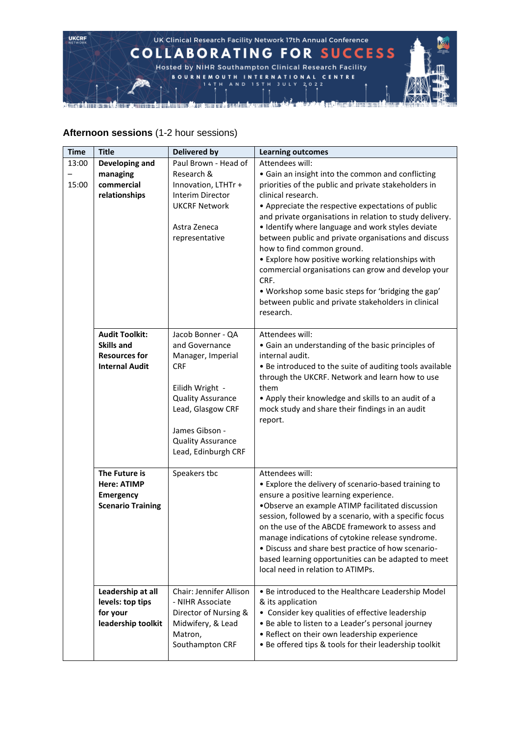

#### **Afternoon sessions** (1-2 hour sessions)

| <b>Time</b> | <b>Title</b>                                  | <b>Delivered by</b>            | <b>Learning outcomes</b>                                                                                    |
|-------------|-----------------------------------------------|--------------------------------|-------------------------------------------------------------------------------------------------------------|
| 13:00       | Developing and                                | Paul Brown - Head of           | Attendees will:                                                                                             |
|             | managing                                      | Research &                     | • Gain an insight into the common and conflicting                                                           |
| 15:00       | commercial                                    | Innovation, LTHTr +            | priorities of the public and private stakeholders in                                                        |
|             | relationships                                 | Interim Director               | clinical research.                                                                                          |
|             |                                               | <b>UKCRF Network</b>           | • Appreciate the respective expectations of public                                                          |
|             |                                               |                                | and private organisations in relation to study delivery.                                                    |
|             |                                               | Astra Zeneca                   | • Identify where language and work styles deviate                                                           |
|             |                                               | representative                 | between public and private organisations and discuss<br>how to find common ground.                          |
|             |                                               |                                | • Explore how positive working relationships with                                                           |
|             |                                               |                                | commercial organisations can grow and develop your                                                          |
|             |                                               |                                | CRF.                                                                                                        |
|             |                                               |                                | . Workshop some basic steps for 'bridging the gap'                                                          |
|             |                                               |                                | between public and private stakeholders in clinical                                                         |
|             |                                               |                                | research.                                                                                                   |
|             |                                               |                                |                                                                                                             |
|             | <b>Audit Toolkit:</b>                         | Jacob Bonner - QA              | Attendees will:                                                                                             |
|             | <b>Skills and</b>                             | and Governance                 | • Gain an understanding of the basic principles of                                                          |
|             | <b>Resources for</b><br><b>Internal Audit</b> | Manager, Imperial              | internal audit.                                                                                             |
|             |                                               | <b>CRF</b>                     | . Be introduced to the suite of auditing tools available<br>through the UKCRF. Network and learn how to use |
|             |                                               | Eilidh Wright -                | them                                                                                                        |
|             |                                               | <b>Quality Assurance</b>       | • Apply their knowledge and skills to an audit of a                                                         |
|             |                                               | Lead, Glasgow CRF              | mock study and share their findings in an audit                                                             |
|             |                                               |                                | report.                                                                                                     |
|             |                                               | James Gibson -                 |                                                                                                             |
|             |                                               | <b>Quality Assurance</b>       |                                                                                                             |
|             |                                               | Lead, Edinburgh CRF            |                                                                                                             |
|             | The Future is                                 | Speakers tbc                   | Attendees will:                                                                                             |
|             | <b>Here: ATIMP</b>                            |                                | • Explore the delivery of scenario-based training to                                                        |
|             | <b>Emergency</b>                              |                                | ensure a positive learning experience.                                                                      |
|             | <b>Scenario Training</b>                      |                                | .Observe an example ATIMP facilitated discussion                                                            |
|             |                                               |                                | session, followed by a scenario, with a specific focus                                                      |
|             |                                               |                                | on the use of the ABCDE framework to assess and                                                             |
|             |                                               |                                | manage indications of cytokine release syndrome.                                                            |
|             |                                               |                                | . Discuss and share best practice of how scenario-                                                          |
|             |                                               |                                | based learning opportunities can be adapted to meet                                                         |
|             |                                               |                                | local need in relation to ATIMPs.                                                                           |
|             | Leadership at all                             | <b>Chair: Jennifer Allison</b> | • Be introduced to the Healthcare Leadership Model                                                          |
|             | levels: top tips                              | - NIHR Associate               | & its application                                                                                           |
|             | for your                                      | Director of Nursing &          | • Consider key qualities of effective leadership                                                            |
|             | leadership toolkit                            | Midwifery, & Lead              | • Be able to listen to a Leader's personal journey                                                          |
|             |                                               | Matron,                        | • Reflect on their own leadership experience                                                                |
|             |                                               | Southampton CRF                | . Be offered tips & tools for their leadership toolkit                                                      |
|             |                                               |                                |                                                                                                             |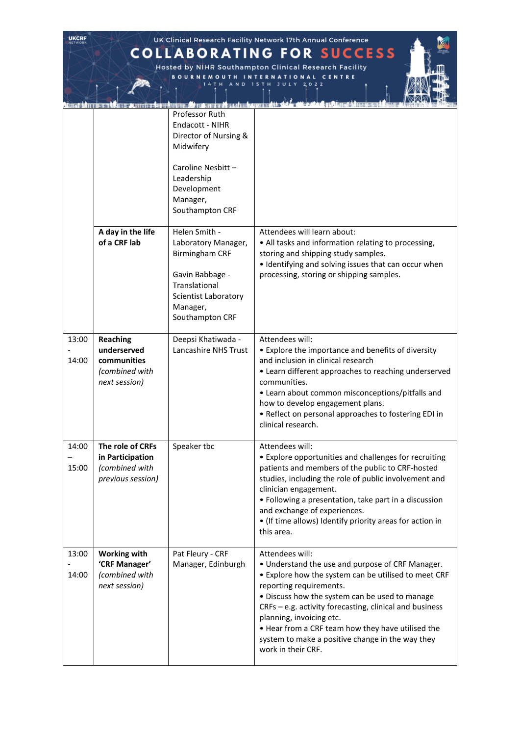**COLLABORATING FOR SUCCESS** Hosted by NIHR Southampton Clinical Research Facility<br>
BOURNEMOUTH INTERNATIONAL CENTRE<br>
14TH AND 15TH JULY 2022

**UKCRF** 

|                |                                                                                  | o an american and matematical leads<br>Professor Ruth<br>Endacott - NIHR<br>Director of Nursing &<br>Midwifery                                           |                                                                                                                                                                                                                                                                                                                                                                                                                                |
|----------------|----------------------------------------------------------------------------------|----------------------------------------------------------------------------------------------------------------------------------------------------------|--------------------------------------------------------------------------------------------------------------------------------------------------------------------------------------------------------------------------------------------------------------------------------------------------------------------------------------------------------------------------------------------------------------------------------|
|                |                                                                                  | Caroline Nesbitt -<br>Leadership<br>Development<br>Manager,<br>Southampton CRF                                                                           |                                                                                                                                                                                                                                                                                                                                                                                                                                |
|                | A day in the life<br>of a CRF lab                                                | Helen Smith -<br>Laboratory Manager,<br><b>Birmingham CRF</b><br>Gavin Babbage -<br>Translational<br>Scientist Laboratory<br>Manager,<br>Southampton CRF | Attendees will learn about:<br>• All tasks and information relating to processing,<br>storing and shipping study samples.<br>• Identifying and solving issues that can occur when<br>processing, storing or shipping samples.                                                                                                                                                                                                  |
| 13:00<br>14:00 | <b>Reaching</b><br>underserved<br>communities<br>(combined with<br>next session) | Deepsi Khatiwada -<br>Lancashire NHS Trust                                                                                                               | Attendees will:<br>• Explore the importance and benefits of diversity<br>and inclusion in clinical research<br>• Learn different approaches to reaching underserved<br>communities.<br>• Learn about common misconceptions/pitfalls and<br>how to develop engagement plans.<br>• Reflect on personal approaches to fostering EDI in<br>clinical research.                                                                      |
| 14:00<br>15:00 | The role of CRFs<br>in Participation<br>(combined with<br>previous session)      | Speaker tbc                                                                                                                                              | Attendees will:<br>• Explore opportunities and challenges for recruiting<br>patients and members of the public to CRF-hosted<br>studies, including the role of public involvement and<br>clinician engagement.<br>• Following a presentation, take part in a discussion<br>and exchange of experiences.<br>• (If time allows) Identify priority areas for action in<br>this area.                                              |
| 13:00<br>14:00 | <b>Working with</b><br>'CRF Manager'<br>(combined with<br>next session)          | Pat Fleury - CRF<br>Manager, Edinburgh                                                                                                                   | Attendees will:<br>• Understand the use and purpose of CRF Manager.<br>• Explore how the system can be utilised to meet CRF<br>reporting requirements.<br>• Discuss how the system can be used to manage<br>CRFs - e.g. activity forecasting, clinical and business<br>planning, invoicing etc.<br>. Hear from a CRF team how they have utilised the<br>system to make a positive change in the way they<br>work in their CRF. |